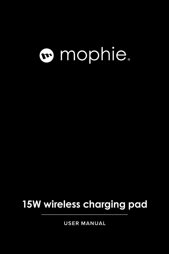# mophie.

## **15W wireless charging pad**

**USER MANUAL**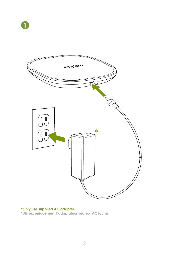



**\*Only use supplied AC adapter. \*Utilisez uniquement l'adaptateur secteur AC fourni.**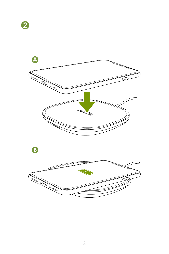

**B**

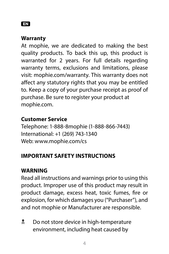#### EN

#### **Warranty**

At mophie, we are dedicated to making the best quality products. To back this up, this product is warranted for 2 years. For full details regarding warranty terms, exclusions and limitations, please visit: mophie.com/warranty. This warranty does not affect any statutory rights that you may be entitled to. Keep a copy of your purchase receipt as proof of purchase. Be sure to register your product at mophie.com.

#### **Customer Service**

Telephone: 1-888-8mophie (1-888-866-7443) International: +1 (269) 743-1340 Web: www.mophie.com/cs

#### **IMPORTANT SAFETY INSTRUCTIONS**

#### **WARNING**

Read all instructions and warnings prior to using this product. Improper use of this product may result in product damage, excess heat, toxic fumes, fire or explosion, for which damages you ("Purchaser"), and and not mophie or Manufacturer are responsible.

**Let** Do not store device in high-temperature environment, including heat caused by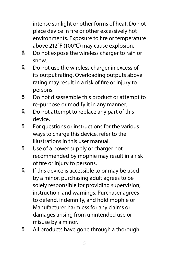intense sunlight or other forms of heat. Do not place device in fire or other excessively hot environments. Exposure to fire or temperature above 212°F (100°C) may cause explosion.

- **No not expose the wireless charger to rain or** snow.
- **2** Do not use the wireless charger in excess of its output rating. Overloading outputs above rating may result in a risk of fire or injury to persons.
- **Let** Do not disassemble this product or attempt to re-purpose or modify it in any manner.
- **D** not attempt to replace any part of this device.
- **K** For questions or instructions for the various ways to charge this device, refer to the illustrations in this user manual.
- **Notal Use of a power supply or charger not** recommended by mophie may result in a risk of fire or injury to persons.
- **If this device is accessible to or may be used** by a minor, purchasing adult agrees to be solely responsible for providing supervision, instruction, and warnings. Purchaser agrees to defend, indemnify, and hold mophie or Manufacturer harmless for any claims or damages arising from unintended use or misuse by a minor.
- **2.** All products have gone through a thorough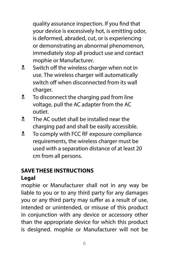quality assurance inspection. If you find that your device is excessively hot, is emitting odor, is deformed, abraded, cut, or is experiencing or demonstrating an abnormal phenomenon, immediately stop all product use and contact mophie or Manufacturer.

- **N** Switch off the wireless charger when not in use. The wireless charger will automatically switch off when disconnected from its wall charger.
- **X** To disconnect the charging pad from line voltage, pull the AC adapter from the AC outlet.
- **X** The AC outlet shall be installed near the charging pad and shall be easily accessible.
- **N** To comply with FCC RF exposure compliance requirements, the wireless charger must be used with a separation distance of at least 20 cm from all persons.

### **SAVE THESE INSTRUCTIONS**

#### **Legal**

mophie or Manufacturer shall not in any way be liable to you or to any third party for any damages you or any third party may suffer as a result of use, intended or unintended, or misuse of this product in conjunction with any device or accessory other than the appropriate device for which this product is designed. mophie or Manufacturer will not be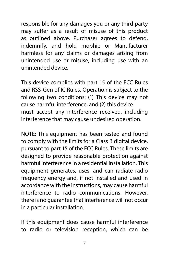responsible for any damages you or any third party may suffer as a result of misuse of this product as outlined above. Purchaser agrees to defend, indemnify, and hold mophie or Manufacturer harmless for any claims or damages arising from unintended use or misuse, including use with an unintended device.

This device complies with part 15 of the FCC Rules and RSS-Gen of IC Rules. Operation is subject to the following two conditions: (1) This device may not cause harmful interference, and (2) this device must accept any interference received, including interference that may cause undesired operation.

NOTE: This equipment has been tested and found to comply with the limits for a Class B digital device, pursuant to part 15 of the FCC Rules. These limits are designed to provide reasonable protection against harmful interference in a residential installation. This equipment generates, uses, and can radiate radio frequency energy and, if not installed and used in accordance with the instructions, may cause harmful interference to radio communications. However, there is no guarantee that interference will not occur in a particular installation.

If this equipment does cause harmful interference to radio or television reception, which can be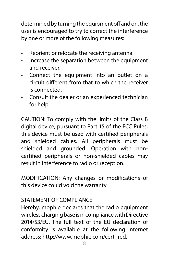determined by turning the equipment off and on, the user is encouraged to try to correct the interference by one or more of the following measures:

- Reorient or relocate the receiving antenna.
- Increase the separation between the equipment and receiver.
- Connect the equipment into an outlet on a circuit different from that to which the receiver is connected.
- Consult the dealer or an experienced technician for help.

CAUTION: To comply with the limits of the Class B digital device, pursuant to Part 15 of the FCC Rules, this device must be used with certified peripherals and shielded cables. All peripherals must be shielded and grounded. Operation with noncertified peripherals or non-shielded cables may result in interference to radio or reception.

MODIFICATION: Any changes or modifications of this device could void the warranty.

#### STATEMENT OF COMPLIANCE

Hereby, mophie declares that the radio equipment wireless charging base is in compliance with Directive 2014/53/EU. The full text of the EU declaration of conformity is available at the following internet address: http://www.mophie.com/cert\_red.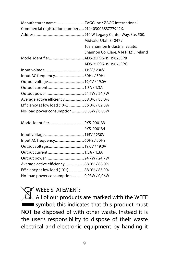| Commercial registration number  91440300683777942X. |                                      |
|-----------------------------------------------------|--------------------------------------|
|                                                     |                                      |
|                                                     | Midvale, Utah 84047 /                |
|                                                     | 103 Shannon Industrial Estate.       |
|                                                     | Shannon Co. Clare, V14 PH21, Ireland |
|                                                     |                                      |
|                                                     | ADS-25FSG-19 19025EPG                |
|                                                     |                                      |
|                                                     |                                      |
|                                                     |                                      |
|                                                     |                                      |
|                                                     |                                      |
| Average active efficiency  88,0% / 88,0%            |                                      |
| Efficiency at low load (10%)  86,0% / 82,0%         |                                      |
| No-load power consumption  0,05W / 0,03W            |                                      |
|                                                     |                                      |

|                                             | PYS-000134 |
|---------------------------------------------|------------|
|                                             |            |
|                                             |            |
|                                             |            |
|                                             |            |
|                                             |            |
| Average active efficiency  88,0% / 88,0%    |            |
| Efficiency at low load (10%)  88,0% / 85,0% |            |
| No-load power consumption  0,03W / 0,06W    |            |
|                                             |            |

**X** WEEE STATEMENT:

WEEE STATERIES.<br>All of our products are marked with the WEEE symbol; this indicates that this product must NOT be disposed of with other waste. Instead it is the user's responsibility to dispose of their waste electrical and electronic equipment by handing it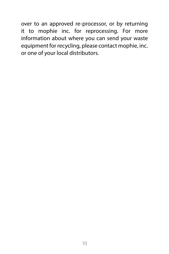over to an approved re-processor, or by returning it to mophie inc. for reprocessing. For more information about where you can send your waste equipment for recycling, please contact mophie, inc. or one of your local distributors.